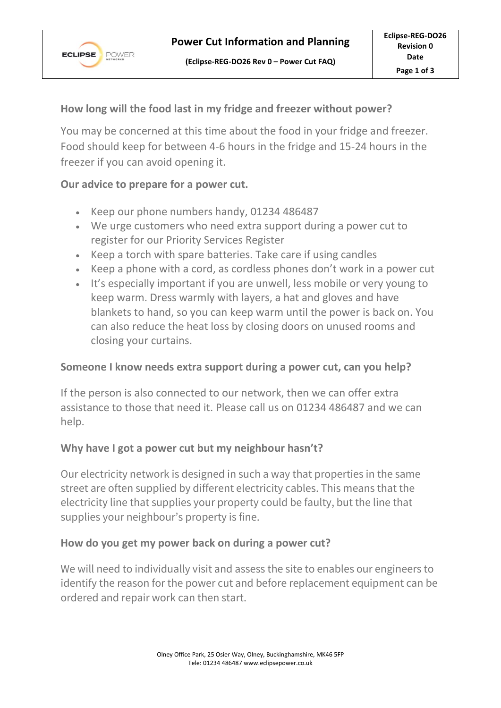

**How long will the food last in my fridge and freezer without power?**

You may be concerned at this time about the food in your fridge and freezer. Food should keep for between 4-6 hours in the fridge and 15-24 hours in the freezer if you can avoid opening it.

# **Our advice to prepare for a power cut.**

- Keep our phone numbers handy, 01234 486487
- We urge customers who need extra support during a power cut to register for our [Priority Services Register](https://www.ukpowernetworks.co.uk/power-cut/priority-services-register)
- Keep a torch with spare batteries. Take care if using candles
- Keep a phone with a cord, as cordless phones don't work in a power cut
- It's especially important if you are unwell, less mobile or very young to keep warm. Dress warmly with layers, a hat and gloves and have blankets to hand, so you can keep warm until the power is back on. You can also reduce the heat loss by closing doors on unused rooms and closing your curtains.

#### **Someone I know needs extra support during a power cut, can you help?**

If the person is also connected to our network, then we can offer extra assistance to those that need it. Please call us on 01234 486487 and we can help.

# **Why have I got a power cut but my neighbour hasn't?**

Our electricity network is designed in such a way that properties in the same street are often supplied by different electricity cables. This means that the electricity line that supplies your property could be faulty, but the line that supplies your neighbour's property is fine.

#### **How do you get my power back on during a power cut?**

We will need to individually visit and assess the site to enables our engineers to identify the reason for the power cut and before replacement equipment can be ordered and repair work can then start.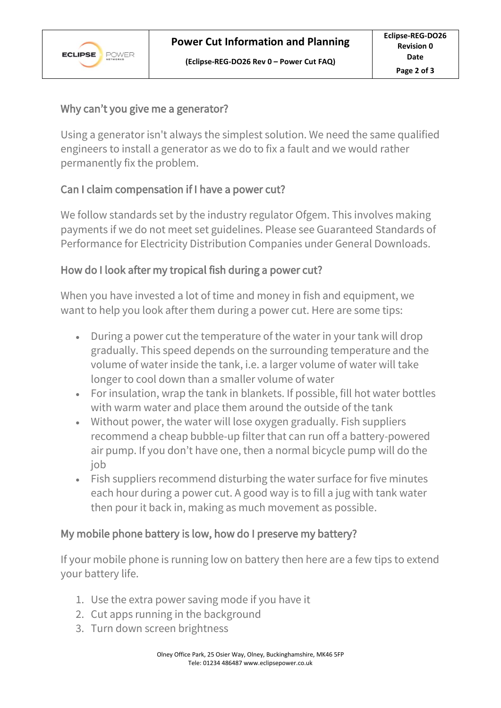

#### Why can't you give me a generator?

Using a generator isn't always the simplest solution. We need the same qualified engineers to install a generator as we do to fix a fault and we would rather permanently fix the problem.

# Can I claim compensation if I have a power cut?

We follow standards set by the industry regulator Ofgem. This involves making payments if we do not meet set guidelines. Please see Guaranteed Standards of Performance for Electricity Distribution Companies under General Downloads.

# How do I look after my tropical fish during a power cut?

When you have invested a lot of time and money in fish and equipment, we want to help you look after them during a power cut. Here are some tips:

- During a power cut the temperature of the water in your tank will drop gradually. This speed depends on the surrounding temperature and the volume of water inside the tank, i.e. a larger volume of water will take longer to cool down than a smaller volume of water
- For insulation, wrap the tank in blankets. If possible, fill hot water bottles with warm water and place them around the outside of the tank
- Without power, the water will lose oxygen gradually. Fish suppliers recommend a cheap bubble-up filter that can run off a battery-powered air pump. If you don't have one, then a normal bicycle pump will do the job
- Fish suppliers recommend disturbing the water surface for five minutes each hour during a power cut. A good way is to fill a jug with tank water then pour it back in, making as much movement as possible.

# My mobile phone battery is low, how do I preserve my battery?

If your mobile phone is running low on battery then here are a few tips to extend your battery life.

- 1. Use the extra power saving mode if you have it
- 2. Cut apps running in the background
- 3. Turn down screen brightness